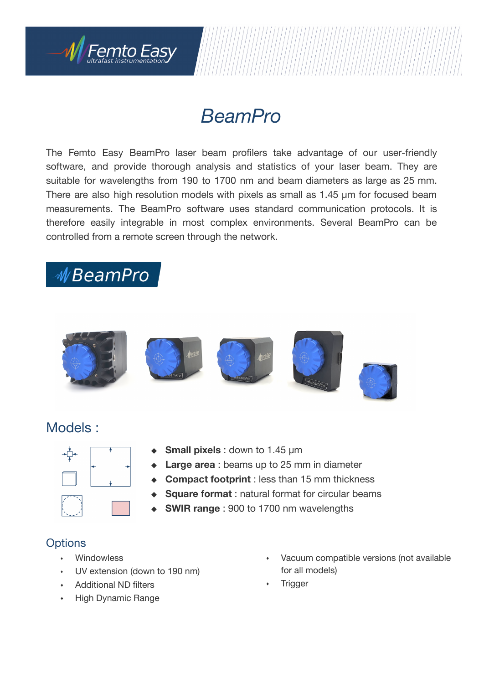

### *BeamPro*

The Femto Easy BeamPro laser beam profilers take advantage of our user-friendly software, and provide thorough analysis and statistics of your laser beam. They are suitable for wavelengths from 190 to 1700 nm and beam diameters as large as 25 mm. There are also high resolution models with pixels as small as 1.45 μm for focused beam measurements. The BeamPro software uses standard communication protocols. It is therefore easily integrable in most complex environments. Several BeamPro can be controlled from a remote screen through the network.

### *MBeamPro*



#### Models :



- **Small pixels** : down to 1.45 µm
- ◆ **Large area** : beams up to 25 mm in diameter
- **Compact footprint** : less than 15 mm thickness
- **Square format** : natural format for circular beams
- **SWIR range** : 900 to 1700 nm wavelengths

#### **Options**

- **Windowless**
- ⬫ UV extension (down to 190 nm)
- ⬫ Additional ND filters
- ⬫ High Dynamic Range
- ⬫ Vacuum compatible versions (not available for all models)
- **Trigger**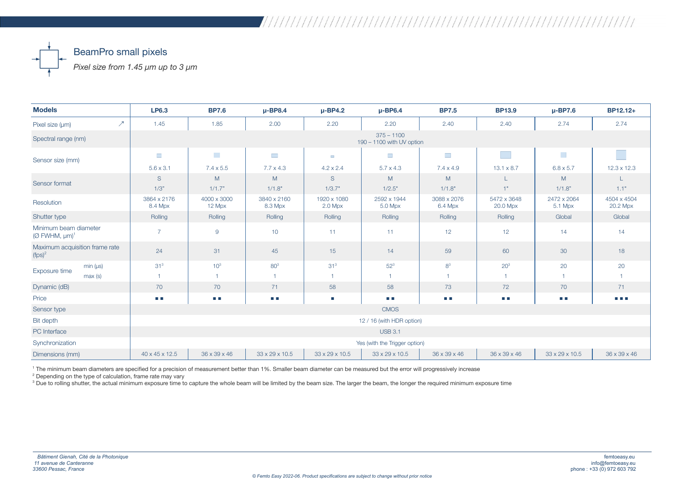

| <b>Models</b>                                                     |          | <b>LP6.3</b>                              | <b>BP7.6</b>          | $\mu$ -BP8.4               | $\mu$ -BP4.2                | $\mu$ -BP6.4                | <b>BP7.5</b>               | <b>BP13.9</b>               | $\mu$ -BP7.6           | BP12.12+                |  |  |
|-------------------------------------------------------------------|----------|-------------------------------------------|-----------------------|----------------------------|-----------------------------|-----------------------------|----------------------------|-----------------------------|------------------------|-------------------------|--|--|
| $\mathcal{L}_{\mathcal{L}}$<br>Pixel size (µm)                    |          | 1.45                                      | 1.85                  | 2.00                       | 2.20                        | 2.20                        | 2.40                       | 2.40                        | 2.74                   | 2.74                    |  |  |
| Spectral range (nm)                                               |          | $375 - 1100$<br>190 - 1100 with UV option |                       |                            |                             |                             |                            |                             |                        |                         |  |  |
| Sensor size (mm)                                                  |          | $\mathcal{L}_{\mathcal{A}}$               | $\sim$                | $\mathcal{L}^{\text{max}}$ | $\overline{\phantom{a}}$    | $\mathcal{L}^{\mathcal{L}}$ | $\mathcal{L}^{\text{max}}$ | $\mathcal{L}^{\mathcal{L}}$ | $\sim$                 |                         |  |  |
|                                                                   |          | $5.6 \times 3.1$                          | $7.4 \times 5.5$      | $7.7 \times 4.3$           | $4.2 \times 2.4$            | $5.7 \times 4.3$            | $7.4 \times 4.9$           | $13.1 \times 8.7$           | $6.8 \times 5.7$       | $12.3 \times 12.3$      |  |  |
| Sensor format                                                     |          | S                                         | M                     | M                          | S                           | M                           | M                          | L                           | M                      |                         |  |  |
|                                                                   |          | 1/3"                                      | 1/1.7"                | 1/1.8"                     | 1/3.7"                      | 1/2.5"                      | 1/1.8"                     | 1"                          | 1/1.8"                 | 1.1"                    |  |  |
| Resolution                                                        |          | 3864 x 2176<br>8.4 Mpx                    | 4000 x 3000<br>12 Mpx | 3840 x 2160<br>8.3 Mpx     | 1920 x 1080<br>$2.0$ Mpx    | 2592 x 1944<br>5.0 Mpx      | 3088 x 2076<br>6.4 Mpx     | 5472 x 3648<br>20.0 Mpx     | 2472 x 2064<br>5.1 Mpx | 4504 x 4504<br>20.2 Mpx |  |  |
| Shutter type                                                      |          | Rolling                                   | Rolling               | Rolling                    | Rolling                     | Rolling                     | Rolling                    | Rolling                     | Global                 | Global                  |  |  |
| Minimum beam diameter<br>$(\emptyset$ FWHM, $\mu$ m) <sup>1</sup> |          | $\overline{7}$                            | 9                     | 10                         | 11                          | 11                          | 12                         | 12                          | 14                     | 14                      |  |  |
| Maximum acquisition frame rate<br>$(f \text{ps})^2$               |          | 24                                        | 31                    | 45                         | 15                          | 14                          | 59                         | 60                          | 30                     | 18                      |  |  |
|                                                                   | min (µs) | 31 <sup>3</sup>                           | 10 <sup>3</sup>       | 80 <sup>3</sup>            | 31 <sup>3</sup>             | $52^3$                      | 8 <sup>3</sup>             | 20 <sup>3</sup>             | 20                     | 20                      |  |  |
| Exposure time                                                     | max(s)   |                                           | $\overline{1}$        | $\mathbf{1}$               | $\overline{1}$              |                             | $\overline{1}$             | $\overline{1}$              | $\overline{1}$         | $\mathbf{1}$            |  |  |
| Dynamic (dB)                                                      |          | 70                                        | 70                    | 71                         | 58                          | 58                          | 73                         | 72                          | 70                     | 71                      |  |  |
| Price                                                             |          | $\Box$ $\Box$                             | $\mathbb{Z}^{\times}$ | $\Box$ .                   | $\mathcal{L}_{\mathcal{A}}$ | m in                        | <b>Li</b>                  | $\Box$ $\Box$               | <b>The Co</b>          | T T T                   |  |  |
| Sensor type                                                       |          | <b>CMOS</b>                               |                       |                            |                             |                             |                            |                             |                        |                         |  |  |
| Bit depth                                                         |          | 12 / 16 (with HDR option)                 |                       |                            |                             |                             |                            |                             |                        |                         |  |  |
| PC Interface                                                      |          | <b>USB 3.1</b>                            |                       |                            |                             |                             |                            |                             |                        |                         |  |  |
| Synchronization                                                   |          | Yes (with the Trigger option)             |                       |                            |                             |                             |                            |                             |                        |                         |  |  |
| Dimensions (mm)                                                   |          | 40 x 45 x 12.5                            | 36 x 39 x 46          | 33 x 29 x 10.5             | 33 x 29 x 10.5              | 33 x 29 x 10.5              | 36 x 39 x 46               | 36 x 39 x 46                | 33 x 29 x 10.5         | 36 x 39 x 46            |  |  |

<sup>1</sup> The minimum beam diameters are specified for a precision of measurement better than 1%. Smaller beam diameter can be measured but the error will progressively increase

<sup>2</sup> Depending on the type of calculation, frame rate may vary

<sup>3</sup> Due to rolling shutter, the actual minimum exposure time to capture the whole beam will be limited by the beam size. The larger the beam, the longer the required minimum exposure time

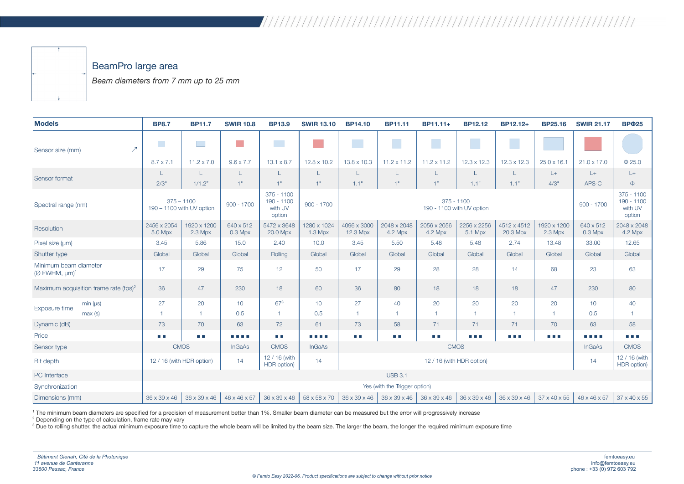

#### BeamPro large area

*Beam diameters from 7 mm up to 25 mm*

| <b>Models</b>                                                     | <b>BP8.7</b>                  | <b>BP11.7</b>                                                                                      | <b>SWIR 10.8</b>                               | <b>BP13.9</b>                                    | <b>SWIR 13.10</b>        | <b>BP14.10</b>                            | <b>BP11.11</b>            | BP11.11+                                                                                                              | <b>BP12.12</b>         | BP12.12+                                        | <b>BP25.16</b>           | <b>SWIR 21.17</b>                                  | <b>BP</b> <sub>025</sub> |
|-------------------------------------------------------------------|-------------------------------|----------------------------------------------------------------------------------------------------|------------------------------------------------|--------------------------------------------------|--------------------------|-------------------------------------------|---------------------------|-----------------------------------------------------------------------------------------------------------------------|------------------------|-------------------------------------------------|--------------------------|----------------------------------------------------|--------------------------|
| $\overline{\phantom{a}}$<br>Sensor size (mm)                      | $\sim$<br>$8.7 \times 7.1$    | <b>The Second</b><br>$11.2 \times 7.0$                                                             | $\mathcal{L}^{\text{max}}$<br>$9.6 \times 7.7$ | $\mathcal{L}^{\mathcal{L}}$<br>$13.1 \times 8.7$ | $12.8 \times 10.2$       | 13.8 x 10.3                               | r I<br>$11.2 \times 11.2$ | $11.2 \times 11.2$                                                                                                    | $12.3 \times 12.3$     | $12.3 \times 12.3$                              | $25.0 \times 16.1$       | $21.0 \times 17.0$                                 | $\Phi$ 25.0              |
|                                                                   | L                             | $\overline{1}$                                                                                     | L                                              |                                                  | L                        | $\mathbf{L}$                              |                           | $\mathsf{L}$                                                                                                          | L                      |                                                 | $L+$                     | $L+$                                               | $L+$                     |
| Sensor format                                                     | 2/3"                          | 1/1.2"                                                                                             | 1"                                             | 1"                                               | 1"                       | 1.1"                                      | 1"                        | 1"                                                                                                                    | 1.1"                   | 1.1"                                            | 4/3"                     | APS-C                                              | $\Phi$                   |
| Spectral range (nm)                                               |                               | $375 - 1100$<br>190 - 1100 with UV option                                                          | $900 - 1700$                                   | $375 - 1100$<br>190 - 1100<br>with UV<br>option  | $900 - 1700$             | $375 - 1100$<br>190 - 1100 with UV option |                           |                                                                                                                       | $900 - 1700$           | $375 - 1100$<br>190 - 1100<br>with UV<br>option |                          |                                                    |                          |
| Resolution                                                        | 2456 x 2054<br>5.0 Mpx        | 1920 x 1200<br>$2.3$ Mpx                                                                           | 640 x 512<br>$0.3$ Mpx                         | 5472 x 3648<br>20.0 Mpx                          | 1280 x 1024<br>$1.3$ Mpx | 4096 x 3000<br>12.3 Mpx                   | 2048 x 2048<br>$4.2$ Mpx  | 2056 x 2056<br>4.2 Mpx                                                                                                | 2256 x 2256<br>5.1 Mpx | 4512 x 4512<br>20.3 Mpx                         | 1920 x 1200<br>$2.3$ Mpx | 640 x 512<br>$0.3$ Mpx                             | 2048 x 2048<br>4.2 Mpx   |
| Pixel size (um)                                                   | 3.45                          | 5.86                                                                                               | 15.0                                           | 2.40                                             | 10.0                     | 3.45                                      | 5.50                      | 5.48                                                                                                                  | 5.48                   | 2.74                                            | 13.48                    | 33.00                                              | 12.65                    |
| Shutter type                                                      | Global                        | Global                                                                                             | Global                                         | Rolling                                          | Global                   | Global                                    | Global                    | Global                                                                                                                | Global                 | Global                                          | Global                   | Global                                             | Global                   |
| Minimum beam diameter<br>$(\emptyset$ FWHM, $\mu$ m) <sup>1</sup> | 17                            | 29                                                                                                 | 75                                             | 12                                               | 50                       | 17                                        | 29                        | 28                                                                                                                    | 28                     | 14                                              | 68                       | 23                                                 | 63                       |
| Maximum acquisition frame rate (fps) <sup>2</sup>                 | 36                            | 47                                                                                                 | 230                                            | 18                                               | 60                       | 36                                        | 80                        | 18                                                                                                                    | 18                     | 18                                              | 47                       | 230                                                | 80                       |
| min (µs)<br>Exposure time                                         | 27                            | 20                                                                                                 | 10 <sup>1</sup>                                | $67^{3}$                                         | 10                       | 27                                        | 40                        | 20                                                                                                                    | 20                     | 20                                              | 20                       | 10                                                 | 40                       |
| max(s)                                                            | $\overline{1}$                | $\mathbf{1}$                                                                                       | 0.5                                            | $\overline{1}$                                   | 0.5                      | $\overline{1}$                            |                           |                                                                                                                       | $\overline{1}$         | 1                                               |                          | 0.5                                                |                          |
| Dynamic (dB)                                                      | 73                            | 70                                                                                                 | 63                                             | 72                                               | 61                       | 73                                        | 58                        | 71                                                                                                                    | 71                     | 71                                              | 70                       | 63                                                 | 58                       |
| Price                                                             | a la                          | <b>COLLE</b>                                                                                       | 8 8 8 8                                        | a in                                             | D E E E                  | D. D                                      | <b>T</b>                  | <b>The Co</b>                                                                                                         | a di B                 | <b>TELESCO</b>                                  | <u> Literatu</u>         | 8 B S B                                            | D D D                    |
| Sensor type                                                       |                               | <b>CMOS</b>                                                                                        | <b>InGaAs</b>                                  | <b>CMOS</b>                                      | <b>InGaAs</b>            |                                           |                           |                                                                                                                       | <b>CMOS</b>            |                                                 |                          | <b>InGaAs</b>                                      | <b>CMOS</b>              |
| Bit depth                                                         |                               | 12 / 16 (with<br>14<br>12 / 16 (with HDR option)<br>14<br>12 / 16 (with HDR option)<br>HDR option) |                                                |                                                  |                          |                                           | 14                        | 12 / 16 (with<br>HDR option)                                                                                          |                        |                                                 |                          |                                                    |                          |
| PC Interface                                                      | <b>USB 3.1</b>                |                                                                                                    |                                                |                                                  |                          |                                           |                           |                                                                                                                       |                        |                                                 |                          |                                                    |                          |
| Synchronization                                                   | Yes (with the Trigger option) |                                                                                                    |                                                |                                                  |                          |                                           |                           |                                                                                                                       |                        |                                                 |                          |                                                    |                          |
| Dimensions (mm)                                                   | $36 \times 39 \times 46$      |                                                                                                    |                                                |                                                  |                          |                                           |                           | 36 x 39 x 46   46 x 46 x 57   36 x 39 x 46   58 x 58 x 70   36 x 39 x 46   36 x 39 x 46   36 x 39 x 46   36 x 39 x 46 |                        |                                                 |                          | $36 \times 39 \times 46$ 37 x 40 x 55 46 x 46 x 57 | 37 x 40 x 55             |

<sup>1</sup> The minimum beam diameters are specified for a precision of measurement better than 1%. Smaller beam diameter can be measured but the error will progressively increase

<sup>2</sup> Depending on the type of calculation, frame rate may vary

<sup>3</sup> Due to rolling shutter, the actual minimum exposure time to capture the whole beam will be limited by the beam size. The larger the beam, the longer the required minimum exposure time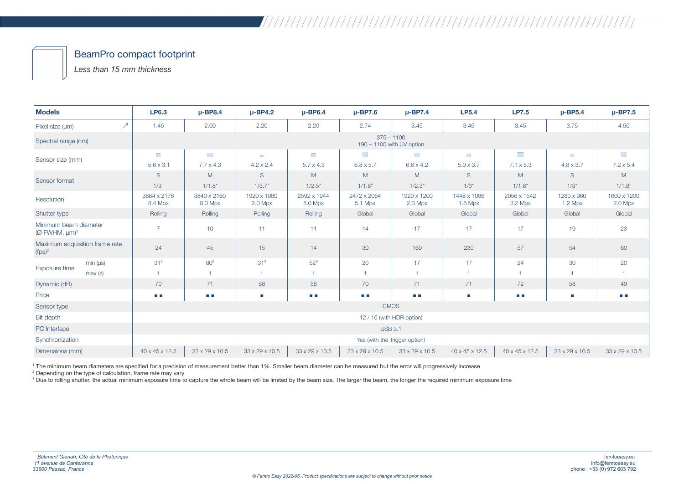### BeamPro compact footprint

*Less than 15 mm thickness*

| <b>Models</b>                                                     | <b>LP6.3</b>                                    | $\mu$ -BP8.4                       | $\mu$ -BP4.2                                 | $\mu$ -BP6.4                                 | $\mu$ -BP7.6               | $\mu$ -BP7.4                       | <b>LP5.4</b>                       | <b>LP7.5</b>                                    | $\mu$ -BP5.4                 | $\mu$ -BP7.5               |  |
|-------------------------------------------------------------------|-------------------------------------------------|------------------------------------|----------------------------------------------|----------------------------------------------|----------------------------|------------------------------------|------------------------------------|-------------------------------------------------|------------------------------|----------------------------|--|
| $\overline{\phantom{a}}$<br>Pixel size (µm)                       | 1.45                                            | 2.00                               | 2.20                                         | 2.20                                         | 2.74                       | 3.45                               | 3.45                               | 3.45                                            | 3.75                         | 4.50                       |  |
| Spectral range (nm)                                               | $375 - 1100$<br>190 - 1100 with UV option       |                                    |                                              |                                              |                            |                                    |                                    |                                                 |                              |                            |  |
| Sensor size (mm)                                                  | $\mathcal{L}_{\mathcal{A}}$<br>$5.6 \times 3.1$ | <b>College</b><br>$7.7 \times 4.3$ | $\overline{\phantom{a}}$<br>$4.2 \times 2.4$ | $\overline{\phantom{a}}$<br>$5.7 \times 4.3$ | $\sim$<br>$6.8 \times 5.7$ | <b>College</b><br>$6.6 \times 4.2$ | <b>College</b><br>$5.0 \times 3.7$ | $\mathcal{L}^{\mathcal{A}}$<br>$7.1 \times 5.3$ | <b>I</b><br>$4.8 \times 3.7$ | $\sim$<br>$7.2 \times 5.4$ |  |
| Sensor format                                                     | S<br>1/3"                                       | M<br>1/1.8"                        | S<br>1/3.7"                                  | M<br>1/2.5"                                  | M<br>1/1.8"                | M<br>1/2.3"                        | S.<br>1/3"                         | M<br>1/1.8"                                     | S<br>1/3"                    | M<br>1/1.8"                |  |
| Resolution                                                        | 3864 x 2176<br>8.4 Mpx                          | 3840 x 2160<br>8.3 Mpx             | 1920 x 1080<br>$2.0$ Mpx                     | 2592 x 1944<br>5.0 Mpx                       | 2472 x 2064<br>5.1 Mpx     | 1920 x 1200<br>2.3 Mpx             | 1448 x 1086<br>1.6 Mpx             | 2056 x 1542<br>3.2 Mpx                          | 1280 x 960<br>$1.2$ Mpx      | 1600 x 1200<br>$2.0$ Mpx   |  |
| Shutter type                                                      | Rolling                                         | Rolling                            | Rolling                                      | Rolling                                      | Global                     | Global                             | Global                             | Global                                          | Global                       | Global                     |  |
| Minimum beam diameter<br>$(\emptyset$ FWHM, $\mu$ m) <sup>1</sup> | $\overline{7}$                                  | 10                                 | 11                                           | 11                                           | 14                         | 17                                 | 17                                 | 17                                              | 19                           | 23                         |  |
| Maximum acquisition frame rate<br>$(f \text{ps})^2$               | 24                                              | 45                                 | 15                                           | 14                                           | 30                         | 160                                | 230                                | 57                                              | 54                           | 60                         |  |
| min (µs)<br>Exposure time                                         | 31 <sup>3</sup>                                 | 80 <sup>3</sup>                    | 31 <sup>3</sup>                              | $52^3$                                       | 20                         | 17                                 | 17                                 | 24                                              | 30                           | 20                         |  |
| max(s)                                                            | $\vert$                                         |                                    |                                              | $\overline{1}$                               | $\overline{1}$             | $\overline{1}$                     |                                    | $\overline{1}$                                  | $\overline{1}$               |                            |  |
| Dynamic (dB)                                                      | 70                                              | 71                                 | 58                                           | 58                                           | 70                         | 71                                 | 71                                 | 72                                              | 58                           | 49                         |  |
| Price                                                             | $\sim 10$                                       | $\Box$ $\Box$                      | $\mathcal{L}_{\mathcal{A}}$                  | <b>Tall</b>                                  | $\Box$ $\Box$              | a ka                               | $\sim$                             | $\Box$ $\Box$                                   | $\overline{\phantom{a}}$     | <b>COL</b>                 |  |
| Sensor type                                                       |                                                 |                                    |                                              |                                              | <b>CMOS</b>                |                                    |                                    |                                                 |                              |                            |  |
| Bit depth                                                         | 12 / 16 (with HDR option)                       |                                    |                                              |                                              |                            |                                    |                                    |                                                 |                              |                            |  |
| PC Interface                                                      | <b>USB 3.1</b>                                  |                                    |                                              |                                              |                            |                                    |                                    |                                                 |                              |                            |  |
| Synchronization                                                   | Yes (with the Trigger option)                   |                                    |                                              |                                              |                            |                                    |                                    |                                                 |                              |                            |  |
| Dimensions (mm)                                                   | 40 x 45 x 12.5                                  | 33 x 29 x 10.5                     | 33 x 29 x 10.5                               | 33 x 29 x 10.5                               | 33 x 29 x 10.5             | 33 x 29 x 10.5                     | 40 x 45 x 12.5                     | 40 x 45 x 12.5                                  | 33 x 29 x 10.5               | 33 x 29 x 10.5             |  |

<sup>1</sup> The minimum beam diameters are specified for a precision of measurement better than 1%. Smaller beam diameter can be measured but the error will progressively increase

 $2$  Depending on the type of calculation, frame rate may vary

<sup>3</sup> Due to rolling shutter, the actual minimum exposure time to capture the whole beam will be limited by the beam size. The larger the beam, the longer the required minimum exposure time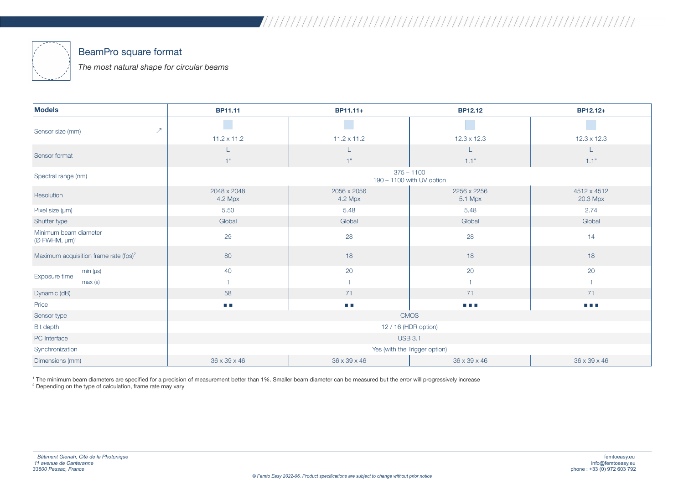

### BeamPro square format

*The most natural shape for circular beams*

| <b>Models</b>                                                     | <b>BP11.11</b>                            | BP11.11+                 | <b>BP12.12</b>         | BP12.12+                |  |  |  |  |  |
|-------------------------------------------------------------------|-------------------------------------------|--------------------------|------------------------|-------------------------|--|--|--|--|--|
| $\overline{\mathcal{L}}$<br>Sensor size (mm)                      |                                           |                          |                        |                         |  |  |  |  |  |
|                                                                   | $11.2 \times 11.2$                        | $11.2 \times 11.2$       | $12.3 \times 12.3$     | $12.3 \times 12.3$      |  |  |  |  |  |
| Sensor format                                                     |                                           |                          |                        |                         |  |  |  |  |  |
|                                                                   | 1 <sup>n</sup>                            | 1"                       | 1.1"                   | 1.1"                    |  |  |  |  |  |
| Spectral range (nm)                                               | $375 - 1100$<br>190 - 1100 with UV option |                          |                        |                         |  |  |  |  |  |
| Resolution                                                        | 2048 x 2048<br>$4.2$ Mpx                  | 2056 x 2056<br>$4.2$ Mpx | 2256 x 2256<br>5.1 Mpx | 4512 x 4512<br>20.3 Mpx |  |  |  |  |  |
| Pixel size (µm)                                                   | 5.50                                      | 5.48                     | 5.48                   | 2.74                    |  |  |  |  |  |
| Shutter type                                                      | Global                                    | Global                   | Global                 | Global                  |  |  |  |  |  |
| Minimum beam diameter<br>$(\emptyset$ FWHM, $\mu$ m) <sup>1</sup> | 29                                        | 28                       | 28                     | 14                      |  |  |  |  |  |
| Maximum acquisition frame rate (fps) $2^2$                        | 80                                        | 18                       | 18                     | 18                      |  |  |  |  |  |
| min (µs)<br>Exposure time                                         | 40                                        | 20                       | 20                     | 20                      |  |  |  |  |  |
| max(s)                                                            |                                           |                          |                        |                         |  |  |  |  |  |
| Dynamic (dB)                                                      | 58                                        | 71                       | 71                     | 71                      |  |  |  |  |  |
| Price                                                             | $\sim$ 10 $\pm$                           | $\mathbb{R}^n$ .         | <b>The Co</b>          | a pri                   |  |  |  |  |  |
| Sensor type                                                       | <b>CMOS</b>                               |                          |                        |                         |  |  |  |  |  |
| Bit depth                                                         | 12 / 16 (HDR option)                      |                          |                        |                         |  |  |  |  |  |
| PC Interface                                                      | <b>USB 3.1</b>                            |                          |                        |                         |  |  |  |  |  |
| Synchronization                                                   | Yes (with the Trigger option)             |                          |                        |                         |  |  |  |  |  |
| Dimensions (mm)                                                   | 36 x 39 x 46                              | 36 x 39 x 46             | 36 x 39 x 46           | 36 x 39 x 46            |  |  |  |  |  |

<sup>1</sup> The minimum beam diameters are specified for a precision of measurement better than 1%. Smaller beam diameter can be measured but the error will progressively increase <sup>2</sup> Depending on the type of calculation, frame rate may vary

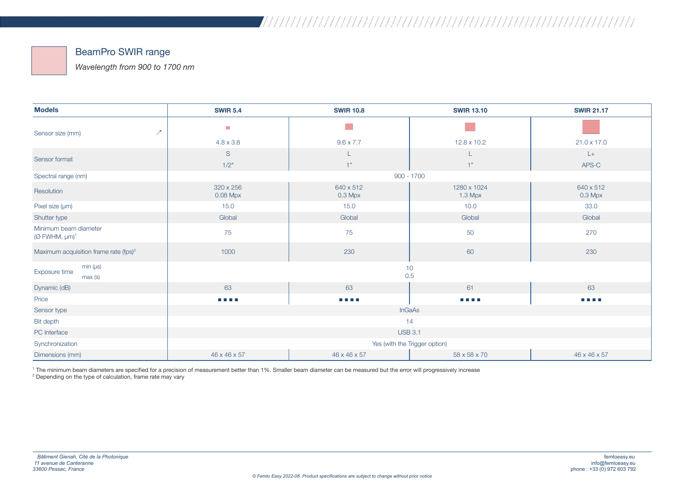

#### BeamPro SWIR range

*Wavelength from 900 to 1700 nm*



| <b>Models</b>                                                     | <b>SWIR 5.4</b>             | <b>SWIR 10.8</b>       | <b>SWIR 13.10</b>                                                                                                                                     | <b>SWIR 21.17</b>      |  |
|-------------------------------------------------------------------|-----------------------------|------------------------|-------------------------------------------------------------------------------------------------------------------------------------------------------|------------------------|--|
| $\mathcal{L}_{\mathcal{A}}$<br>Sensor size (mm)                   | $\mathcal{L}_{\mathcal{A}}$ |                        |                                                                                                                                                       |                        |  |
|                                                                   | $4.8 \times 3.8$            | $9.6 \times 7.7$       | $12.8 \times 10.2$                                                                                                                                    | $21.0 \times 17.0$     |  |
| Sensor format                                                     | ${\mathsf S}$               |                        |                                                                                                                                                       | $\mathsf{L}\text{+}$   |  |
|                                                                   | $1/2$ "                     | 1"                     | 1"                                                                                                                                                    | APS-C                  |  |
| Spectral range (nm)                                               |                             |                        | $900 - 1700$                                                                                                                                          |                        |  |
| Resolution                                                        | 320 x 256<br>0.08 Mpx       | 640 x 512<br>$0.3$ Mpx | 1280 x 1024<br>$1.3$ Mpx                                                                                                                              | 640 x 512<br>$0.3$ Mpx |  |
| Pixel size (µm)                                                   | 15.0                        | 15.0                   | 10.0                                                                                                                                                  | 33.0                   |  |
| Shutter type                                                      | Global                      | Global                 | Global                                                                                                                                                | Global                 |  |
| Minimum beam diameter<br>$(\emptyset$ FWHM, $\mu$ m) <sup>1</sup> | 75                          | 75                     | 50                                                                                                                                                    | 270                    |  |
| Maximum acquisition frame rate (fps) <sup>2</sup>                 | 1000                        | 230                    | 60                                                                                                                                                    | 230                    |  |
| min (µs)<br>Exposure time<br>max(s)                               |                             |                        | 10<br>0.5                                                                                                                                             |                        |  |
| Dynamic (dB)                                                      | 63                          | 63                     | 61                                                                                                                                                    | 63                     |  |
| Price                                                             | <b>BERTH</b>                | <b>BERTH</b>           | $\begin{array}{c} \square \end{array} \begin{array}{c} \square \end{array} \begin{array}{c} \square \end{array} \begin{array}{c} \square \end{array}$ | e di ci                |  |
| Sensor type                                                       |                             |                        | <b>InGaAs</b>                                                                                                                                         |                        |  |
| Bit depth                                                         |                             |                        | 14                                                                                                                                                    |                        |  |
| PC Interface                                                      |                             |                        | <b>USB 3.1</b>                                                                                                                                        |                        |  |
| Synchronization                                                   |                             |                        | Yes (with the Trigger option)                                                                                                                         |                        |  |
| Dimensions (mm)                                                   | 46 x 46 x 57                | 46 x 46 x 57           | 58 x 58 x 70                                                                                                                                          | 46 x 46 x 57           |  |

<sup>1</sup> The minimum beam diameters are specified for a precision of measurement better than 1%. Smaller beam diameter can be measured but the error will progressively increase <sup>2</sup> Depending on the type of calculation, frame rate may vary